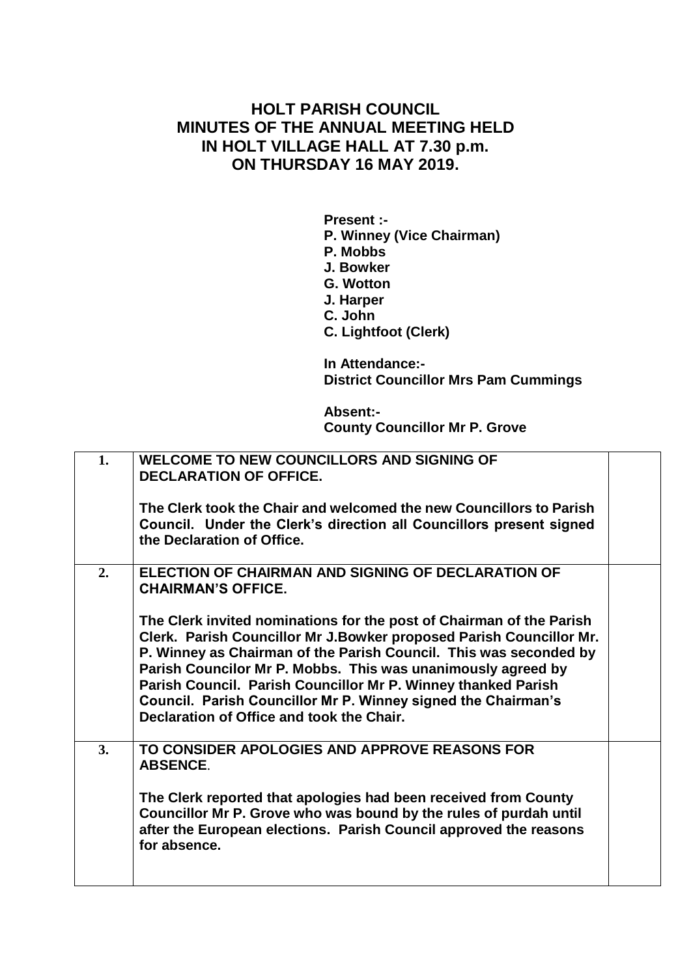## **HOLT PARISH COUNCIL MINUTES OF THE ANNUAL MEETING HELD IN HOLT VILLAGE HALL AT 7.30 p.m. ON THURSDAY 16 MAY 2019.**

**Present :- P. Winney (Vice Chairman) P. Mobbs J. Bowker G. Wotton J. Harper C. John C. Lightfoot (Clerk) In Attendance:- District Councillor Mrs Pam Cummings**

**Absent:- County Councillor Mr P. Grove**

| 1. | <b>WELCOME TO NEW COUNCILLORS AND SIGNING OF</b><br><b>DECLARATION OF OFFICE.</b>                                                                                                                                                                                                                                                                                                                                                                               |  |
|----|-----------------------------------------------------------------------------------------------------------------------------------------------------------------------------------------------------------------------------------------------------------------------------------------------------------------------------------------------------------------------------------------------------------------------------------------------------------------|--|
|    | The Clerk took the Chair and welcomed the new Councillors to Parish<br>Council. Under the Clerk's direction all Councillors present signed<br>the Declaration of Office.                                                                                                                                                                                                                                                                                        |  |
| 2. | <b>ELECTION OF CHAIRMAN AND SIGNING OF DECLARATION OF</b><br><b>CHAIRMAN'S OFFICE.</b>                                                                                                                                                                                                                                                                                                                                                                          |  |
|    | The Clerk invited nominations for the post of Chairman of the Parish<br>Clerk. Parish Councillor Mr J.Bowker proposed Parish Councillor Mr.<br>P. Winney as Chairman of the Parish Council. This was seconded by<br>Parish Councilor Mr P. Mobbs. This was unanimously agreed by<br>Parish Council. Parish Councillor Mr P. Winney thanked Parish<br>Council. Parish Councillor Mr P. Winney signed the Chairman's<br>Declaration of Office and took the Chair. |  |
| 3. | TO CONSIDER APOLOGIES AND APPROVE REASONS FOR<br><b>ABSENCE.</b>                                                                                                                                                                                                                                                                                                                                                                                                |  |
|    | The Clerk reported that apologies had been received from County<br>Councillor Mr P. Grove who was bound by the rules of purdah until<br>after the European elections. Parish Council approved the reasons<br>for absence.                                                                                                                                                                                                                                       |  |
|    |                                                                                                                                                                                                                                                                                                                                                                                                                                                                 |  |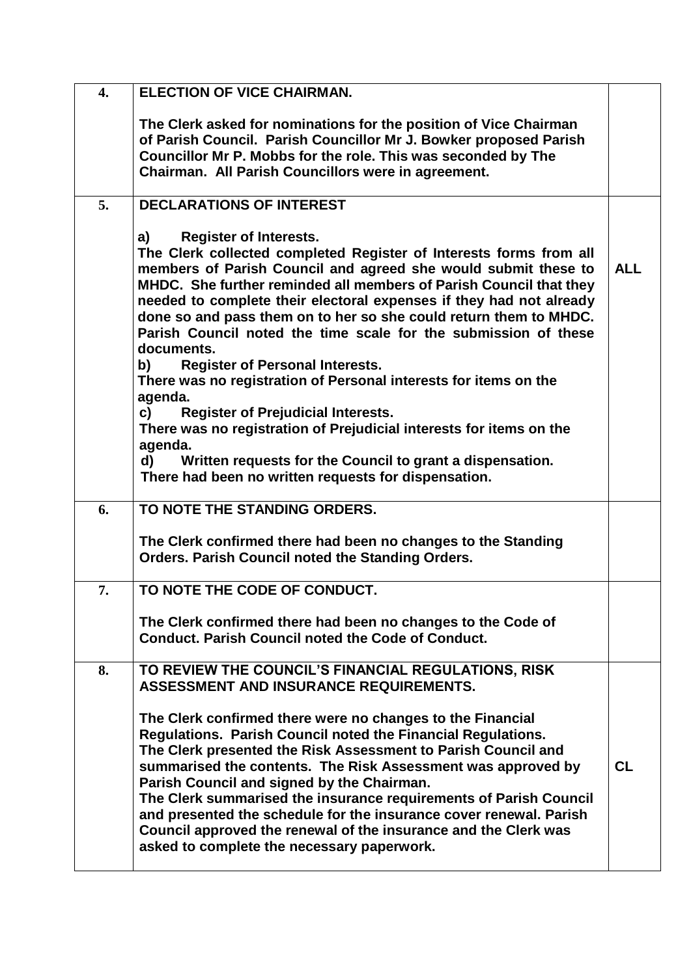| $\overline{4}$ . | <b>ELECTION OF VICE CHAIRMAN.</b>                                                                                                                                                                                                                                                                                                                                                                                                                                                                                                                                     |            |
|------------------|-----------------------------------------------------------------------------------------------------------------------------------------------------------------------------------------------------------------------------------------------------------------------------------------------------------------------------------------------------------------------------------------------------------------------------------------------------------------------------------------------------------------------------------------------------------------------|------------|
|                  | The Clerk asked for nominations for the position of Vice Chairman<br>of Parish Council. Parish Councillor Mr J. Bowker proposed Parish<br>Councillor Mr P. Mobbs for the role. This was seconded by The<br>Chairman. All Parish Councillors were in agreement.                                                                                                                                                                                                                                                                                                        |            |
| 5.               | <b>DECLARATIONS OF INTEREST</b>                                                                                                                                                                                                                                                                                                                                                                                                                                                                                                                                       |            |
|                  | <b>Register of Interests.</b><br>a)<br>The Clerk collected completed Register of Interests forms from all<br>members of Parish Council and agreed she would submit these to<br>MHDC. She further reminded all members of Parish Council that they<br>needed to complete their electoral expenses if they had not already<br>done so and pass them on to her so she could return them to MHDC.<br>Parish Council noted the time scale for the submission of these<br>documents.                                                                                        | <b>ALL</b> |
|                  | <b>Register of Personal Interests.</b><br>b) and the set of the set of the set of the set of the set of the set of the set of the set of the set of the s<br>There was no registration of Personal interests for items on the                                                                                                                                                                                                                                                                                                                                         |            |
|                  | agenda.<br>$\mathsf{c}$ )<br><b>Register of Prejudicial Interests.</b><br>There was no registration of Prejudicial interests for items on the                                                                                                                                                                                                                                                                                                                                                                                                                         |            |
|                  | agenda.<br>Written requests for the Council to grant a dispensation.<br>d)<br>There had been no written requests for dispensation.                                                                                                                                                                                                                                                                                                                                                                                                                                    |            |
| 6.               | TO NOTE THE STANDING ORDERS.                                                                                                                                                                                                                                                                                                                                                                                                                                                                                                                                          |            |
|                  | The Clerk confirmed there had been no changes to the Standing<br>Orders. Parish Council noted the Standing Orders.                                                                                                                                                                                                                                                                                                                                                                                                                                                    |            |
| 7.               | TO NOTE THE CODE OF CONDUCT.                                                                                                                                                                                                                                                                                                                                                                                                                                                                                                                                          |            |
|                  | The Clerk confirmed there had been no changes to the Code of<br><b>Conduct. Parish Council noted the Code of Conduct.</b>                                                                                                                                                                                                                                                                                                                                                                                                                                             |            |
| 8.               | TO REVIEW THE COUNCIL'S FINANCIAL REGULATIONS, RISK<br>ASSESSMENT AND INSURANCE REQUIREMENTS.                                                                                                                                                                                                                                                                                                                                                                                                                                                                         |            |
|                  | The Clerk confirmed there were no changes to the Financial<br>Regulations. Parish Council noted the Financial Regulations.<br>The Clerk presented the Risk Assessment to Parish Council and<br>summarised the contents. The Risk Assessment was approved by<br>Parish Council and signed by the Chairman.<br>The Clerk summarised the insurance requirements of Parish Council<br>and presented the schedule for the insurance cover renewal. Parish<br>Council approved the renewal of the insurance and the Clerk was<br>asked to complete the necessary paperwork. | CL         |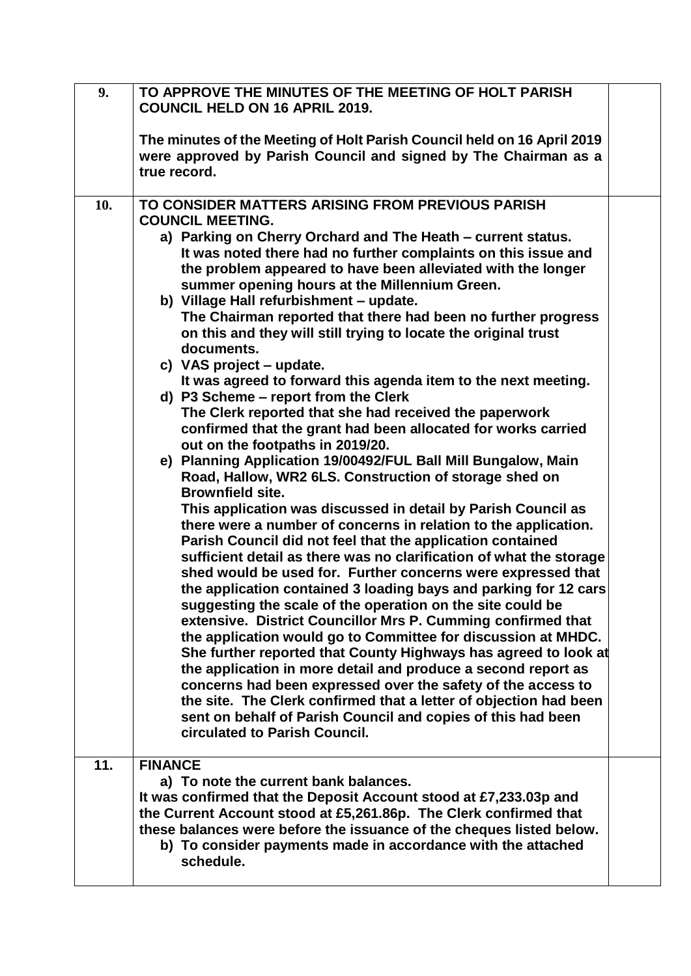| 9.  | TO APPROVE THE MINUTES OF THE MEETING OF HOLT PARISH<br><b>COUNCIL HELD ON 16 APRIL 2019.</b>                                                                                                                                                                                                                                                                                                                                                                                                                                                                                                                                                                                                                                                                                                                                                                                                                                                                                                                                                                                                                                                                                                                                                                                                                                                                                                                                                                                                                                                                                                                                                                                                                                                                                                                                                                                                                                                                                |  |
|-----|------------------------------------------------------------------------------------------------------------------------------------------------------------------------------------------------------------------------------------------------------------------------------------------------------------------------------------------------------------------------------------------------------------------------------------------------------------------------------------------------------------------------------------------------------------------------------------------------------------------------------------------------------------------------------------------------------------------------------------------------------------------------------------------------------------------------------------------------------------------------------------------------------------------------------------------------------------------------------------------------------------------------------------------------------------------------------------------------------------------------------------------------------------------------------------------------------------------------------------------------------------------------------------------------------------------------------------------------------------------------------------------------------------------------------------------------------------------------------------------------------------------------------------------------------------------------------------------------------------------------------------------------------------------------------------------------------------------------------------------------------------------------------------------------------------------------------------------------------------------------------------------------------------------------------------------------------------------------------|--|
|     | The minutes of the Meeting of Holt Parish Council held on 16 April 2019<br>were approved by Parish Council and signed by The Chairman as a<br>true record.                                                                                                                                                                                                                                                                                                                                                                                                                                                                                                                                                                                                                                                                                                                                                                                                                                                                                                                                                                                                                                                                                                                                                                                                                                                                                                                                                                                                                                                                                                                                                                                                                                                                                                                                                                                                                   |  |
| 10. | TO CONSIDER MATTERS ARISING FROM PREVIOUS PARISH<br><b>COUNCIL MEETING.</b><br>a) Parking on Cherry Orchard and The Heath - current status.<br>It was noted there had no further complaints on this issue and<br>the problem appeared to have been alleviated with the longer<br>summer opening hours at the Millennium Green.<br>b) Village Hall refurbishment - update.<br>The Chairman reported that there had been no further progress<br>on this and they will still trying to locate the original trust<br>documents.<br>c) VAS project – update.<br>It was agreed to forward this agenda item to the next meeting.<br>d) P3 Scheme - report from the Clerk<br>The Clerk reported that she had received the paperwork<br>confirmed that the grant had been allocated for works carried<br>out on the footpaths in 2019/20.<br>e) Planning Application 19/00492/FUL Ball Mill Bungalow, Main<br>Road, Hallow, WR2 6LS. Construction of storage shed on<br><b>Brownfield site.</b><br>This application was discussed in detail by Parish Council as<br>there were a number of concerns in relation to the application.<br>Parish Council did not feel that the application contained<br>sufficient detail as there was no clarification of what the storage<br>shed would be used for. Further concerns were expressed that<br>the application contained 3 loading bays and parking for 12 cars<br>suggesting the scale of the operation on the site could be<br>extensive. District Councillor Mrs P. Cumming confirmed that<br>the application would go to Committee for discussion at MHDC.<br>She further reported that County Highways has agreed to look at<br>the application in more detail and produce a second report as<br>concerns had been expressed over the safety of the access to<br>the site. The Clerk confirmed that a letter of objection had been<br>sent on behalf of Parish Council and copies of this had been<br>circulated to Parish Council. |  |
| 11. | <b>FINANCE</b><br>a) To note the current bank balances.<br>It was confirmed that the Deposit Account stood at £7,233.03p and<br>the Current Account stood at £5,261.86p. The Clerk confirmed that<br>these balances were before the issuance of the cheques listed below.<br>b) To consider payments made in accordance with the attached<br>schedule.                                                                                                                                                                                                                                                                                                                                                                                                                                                                                                                                                                                                                                                                                                                                                                                                                                                                                                                                                                                                                                                                                                                                                                                                                                                                                                                                                                                                                                                                                                                                                                                                                       |  |